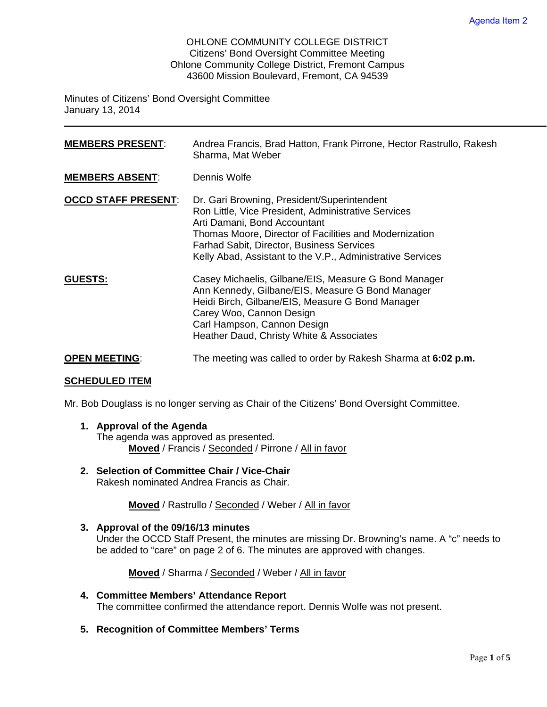OHLONE COMMUNITY COLLEGE DISTRICT Citizens' Bond Oversight Committee Meeting Ohlone Community College District, Fremont Campus 43600 Mission Boulevard, Fremont, CA 94539

Minutes of Citizens' Bond Oversight Committee January 13, 2014

| <b>MEMBERS PRESENT:</b>    | Andrea Francis, Brad Hatton, Frank Pirrone, Hector Rastrullo, Rakesh<br>Sharma, Mat Weber                                                                                                                                                                                                                      |
|----------------------------|----------------------------------------------------------------------------------------------------------------------------------------------------------------------------------------------------------------------------------------------------------------------------------------------------------------|
| <b>MEMBERS ABSENT:</b>     | Dennis Wolfe                                                                                                                                                                                                                                                                                                   |
| <b>OCCD STAFF PRESENT:</b> | Dr. Gari Browning, President/Superintendent<br>Ron Little, Vice President, Administrative Services<br>Arti Damani, Bond Accountant<br>Thomas Moore, Director of Facilities and Modernization<br><b>Farhad Sabit, Director, Business Services</b><br>Kelly Abad, Assistant to the V.P., Administrative Services |
| <b>GUESTS:</b>             | Casey Michaelis, Gilbane/EIS, Measure G Bond Manager<br>Ann Kennedy, Gilbane/EIS, Measure G Bond Manager<br>Heidi Birch, Gilbane/EIS, Measure G Bond Manager<br>Carey Woo, Cannon Design<br>Carl Hampson, Cannon Design<br>Heather Daud, Christy White & Associates                                            |
| <b>OPEN MEETING:</b>       | The meeting was called to order by Rakesh Sharma at 6:02 p.m.                                                                                                                                                                                                                                                  |

#### **SCHEDULED ITEM**

Mr. Bob Douglass is no longer serving as Chair of the Citizens' Bond Oversight Committee.

**1. Approval of the Agenda** 

The agenda was approved as presented. **Moved** / Francis / Seconded / Pirrone / All in favor

**2. Selection of Committee Chair / Vice-Chair**  Rakesh nominated Andrea Francis as Chair.

**Moved** / Rastrullo / Seconded / Weber / All in favor

**3. Approval of the 09/16/13 minutes**  Under the OCCD Staff Present, the minutes are missing Dr. Browning's name. A "c" needs to be added to "care" on page 2 of 6. The minutes are approved with changes.

**Moved** / Sharma / Seconded / Weber / All in favor

- **4. Committee Members' Attendance Report**  The committee confirmed the attendance report. Dennis Wolfe was not present.
- **5. Recognition of Committee Members' Terms**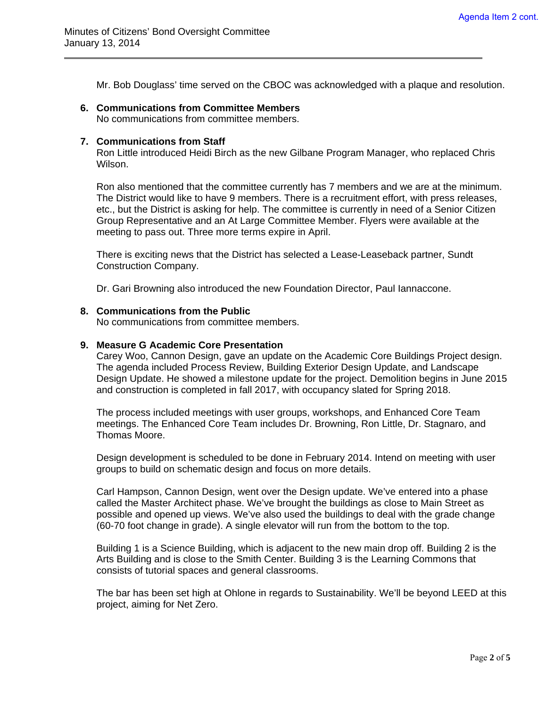Mr. Bob Douglass' time served on the CBOC was acknowledged with a plaque and resolution.

#### **6. Communications from Committee Members**

No communications from committee members.

### **7. Communications from Staff**

 $\overline{a}$ 

Ron Little introduced Heidi Birch as the new Gilbane Program Manager, who replaced Chris Wilson.

Ron also mentioned that the committee currently has 7 members and we are at the minimum. The District would like to have 9 members. There is a recruitment effort, with press releases, etc., but the District is asking for help. The committee is currently in need of a Senior Citizen Group Representative and an At Large Committee Member. Flyers were available at the meeting to pass out. Three more terms expire in April.

There is exciting news that the District has selected a Lease-Leaseback partner, Sundt Construction Company.

Dr. Gari Browning also introduced the new Foundation Director, Paul Iannaccone.

#### **8. Communications from the Public**

No communications from committee members.

#### **9. Measure G Academic Core Presentation**

Carey Woo, Cannon Design, gave an update on the Academic Core Buildings Project design. The agenda included Process Review, Building Exterior Design Update, and Landscape Design Update. He showed a milestone update for the project. Demolition begins in June 2015 and construction is completed in fall 2017, with occupancy slated for Spring 2018.

The process included meetings with user groups, workshops, and Enhanced Core Team meetings. The Enhanced Core Team includes Dr. Browning, Ron Little, Dr. Stagnaro, and Thomas Moore.

Design development is scheduled to be done in February 2014. Intend on meeting with user groups to build on schematic design and focus on more details.

Carl Hampson, Cannon Design, went over the Design update. We've entered into a phase called the Master Architect phase. We've brought the buildings as close to Main Street as possible and opened up views. We've also used the buildings to deal with the grade change (60-70 foot change in grade). A single elevator will run from the bottom to the top.

Building 1 is a Science Building, which is adjacent to the new main drop off. Building 2 is the Arts Building and is close to the Smith Center. Building 3 is the Learning Commons that consists of tutorial spaces and general classrooms.

The bar has been set high at Ohlone in regards to Sustainability. We'll be beyond LEED at this project, aiming for Net Zero.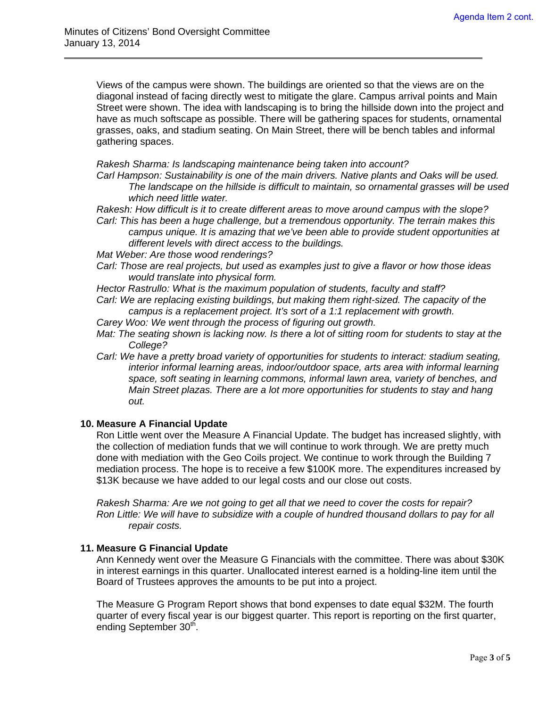$\overline{a}$ 

Views of the campus were shown. The buildings are oriented so that the views are on the diagonal instead of facing directly west to mitigate the glare. Campus arrival points and Main Street were shown. The idea with landscaping is to bring the hillside down into the project and have as much softscape as possible. There will be gathering spaces for students, ornamental grasses, oaks, and stadium seating. On Main Street, there will be bench tables and informal gathering spaces.

*Rakesh Sharma: Is landscaping maintenance being taken into account?* 

*Carl Hampson: Sustainability is one of the main drivers. Native plants and Oaks will be used. The landscape on the hillside is difficult to maintain, so ornamental grasses will be used which need little water.* 

*Rakesh: How difficult is it to create different areas to move around campus with the slope? Carl: This has been a huge challenge, but a tremendous opportunity. The terrain makes this* 

*campus unique. It is amazing that we've been able to provide student opportunities at different levels with direct access to the buildings.* 

- *Mat Weber: Are those wood renderings?*
- *Carl: Those are real projects, but used as examples just to give a flavor or how those ideas would translate into physical form.*

*Hector Rastrullo: What is the maximum population of students, faculty and staff?* 

*Carl: We are replacing existing buildings, but making them right-sized. The capacity of the campus is a replacement project. It's sort of a 1:1 replacement with growth.* 

*Carey Woo: We went through the process of figuring out growth.* 

- *Mat: The seating shown is lacking now. Is there a lot of sitting room for students to stay at the College?*
- *Carl: We have a pretty broad variety of opportunities for students to interact: stadium seating, interior informal learning areas, indoor/outdoor space, arts area with informal learning space, soft seating in learning commons, informal lawn area, variety of benches, and Main Street plazas. There are a lot more opportunities for students to stay and hang out.*

#### **10. Measure A Financial Update**

Ron Little went over the Measure A Financial Update. The budget has increased slightly, with the collection of mediation funds that we will continue to work through. We are pretty much done with mediation with the Geo Coils project. We continue to work through the Building 7 mediation process. The hope is to receive a few \$100K more. The expenditures increased by \$13K because we have added to our legal costs and our close out costs.

*Rakesh Sharma: Are we not going to get all that we need to cover the costs for repair? Ron Little: We will have to subsidize with a couple of hundred thousand dollars to pay for all repair costs.* 

#### **11. Measure G Financial Update**

Ann Kennedy went over the Measure G Financials with the committee. There was about \$30K in interest earnings in this quarter. Unallocated interest earned is a holding-line item until the Board of Trustees approves the amounts to be put into a project.

The Measure G Program Report shows that bond expenses to date equal \$32M. The fourth quarter of every fiscal year is our biggest quarter. This report is reporting on the first quarter, ending September 30<sup>th</sup>.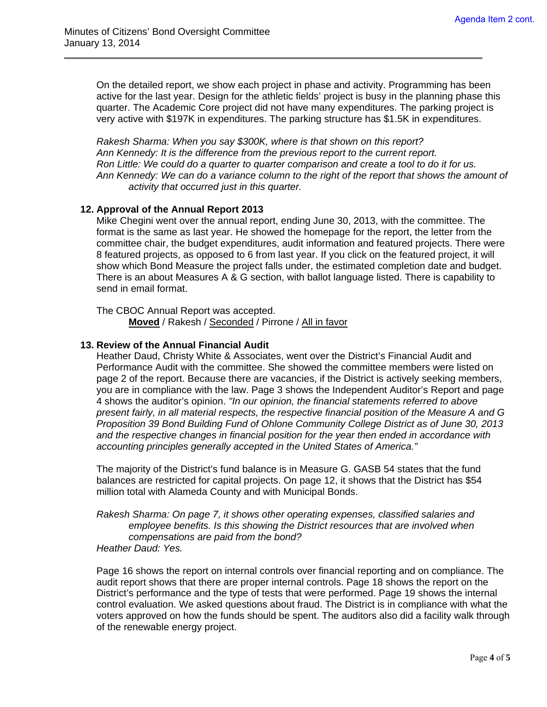$\overline{a}$ 

On the detailed report, we show each project in phase and activity. Programming has been active for the last year. Design for the athletic fields' project is busy in the planning phase this quarter. The Academic Core project did not have many expenditures. The parking project is very active with \$197K in expenditures. The parking structure has \$1.5K in expenditures.

*Rakesh Sharma: When you say \$300K, where is that shown on this report? Ann Kennedy: It is the difference from the previous report to the current report. Ron Little: We could do a quarter to quarter comparison and create a tool to do it for us. Ann Kennedy: We can do a variance column to the right of the report that shows the amount of activity that occurred just in this quarter.* 

## **12. Approval of the Annual Report 2013**

Mike Chegini went over the annual report, ending June 30, 2013, with the committee. The format is the same as last year. He showed the homepage for the report, the letter from the committee chair, the budget expenditures, audit information and featured projects. There were 8 featured projects, as opposed to 6 from last year. If you click on the featured project, it will show which Bond Measure the project falls under, the estimated completion date and budget. There is an about Measures A & G section, with ballot language listed. There is capability to send in email format.

The CBOC Annual Report was accepted. **Moved** / Rakesh / Seconded / Pirrone / All in favor

#### **13. Review of the Annual Financial Audit**

Heather Daud, Christy White & Associates, went over the District's Financial Audit and Performance Audit with the committee. She showed the committee members were listed on page 2 of the report. Because there are vacancies, if the District is actively seeking members, you are in compliance with the law. Page 3 shows the Independent Auditor's Report and page 4 shows the auditor's opinion. *"In our opinion, the financial statements referred to above present fairly, in all material respects, the respective financial position of the Measure A and G Proposition 39 Bond Building Fund of Ohlone Community College District as of June 30, 2013 and the respective changes in financial position for the year then ended in accordance with accounting principles generally accepted in the United States of America."* 

The majority of the District's fund balance is in Measure G. GASB 54 states that the fund balances are restricted for capital projects. On page 12, it shows that the District has \$54 million total with Alameda County and with Municipal Bonds.

*Rakesh Sharma: On page 7, it shows other operating expenses, classified salaries and employee benefits. Is this showing the District resources that are involved when compensations are paid from the bond? Heather Daud: Yes.* 

Page 16 shows the report on internal controls over financial reporting and on compliance. The audit report shows that there are proper internal controls. Page 18 shows the report on the District's performance and the type of tests that were performed. Page 19 shows the internal control evaluation. We asked questions about fraud. The District is in compliance with what the voters approved on how the funds should be spent. The auditors also did a facility walk through of the renewable energy project.